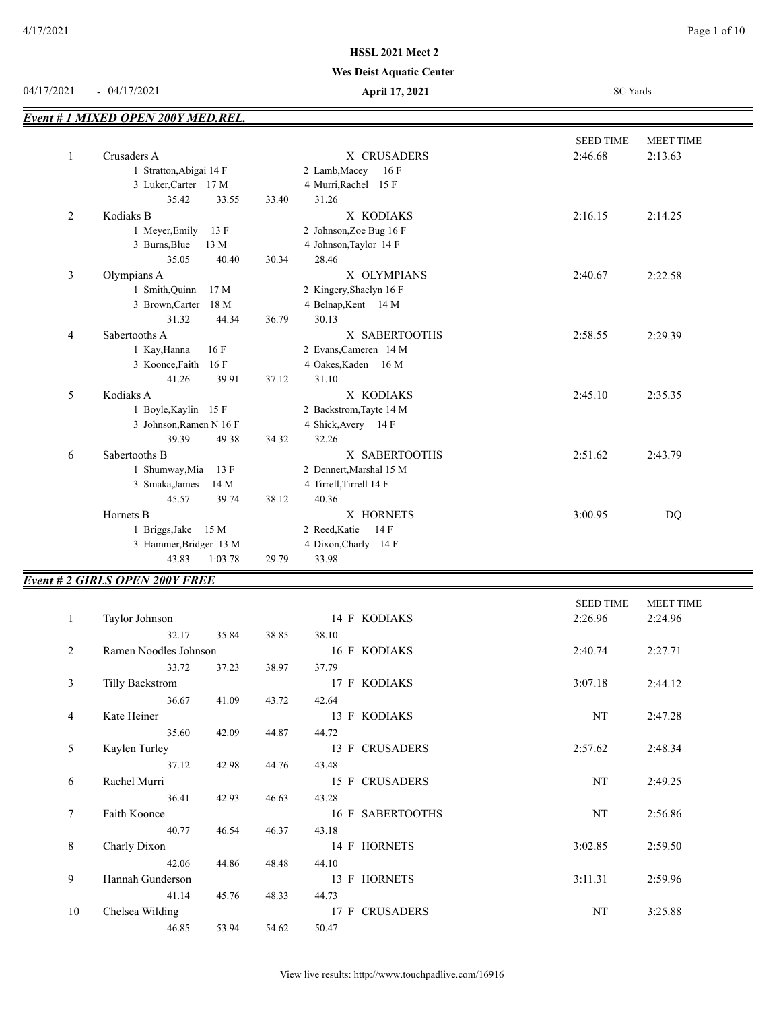#### **Wes Deist Aquatic Center**

| 04/17/2021     | $-04/17/2021$                      | April 17, 2021          | <b>SC</b> Yards                                     |  |  |
|----------------|------------------------------------|-------------------------|-----------------------------------------------------|--|--|
|                | Event # 1 MIXED OPEN 200Y MED.REL. |                         |                                                     |  |  |
| $\mathbf{1}$   | Crusaders A                        | X CRUSADERS             | <b>SEED TIME</b><br>MEET TIME<br>2:46.68<br>2:13.63 |  |  |
|                | 1 Stratton, Abigai 14 F            | 2 Lamb, Macey<br>16F    |                                                     |  |  |
|                | 3 Luker, Carter 17 M               | 4 Murri, Rachel 15 F    |                                                     |  |  |
|                | 35.42<br>33.55                     | 31.26<br>33.40          |                                                     |  |  |
| 2              | Kodiaks B                          | X KODIAKS               | 2:16.15<br>2:14.25                                  |  |  |
|                | 1 Meyer, Emily<br>13 F             | 2 Johnson, Zoe Bug 16 F |                                                     |  |  |
|                | 3 Burns, Blue<br>13 M              | 4 Johnson, Taylor 14 F  |                                                     |  |  |
|                | 35.05<br>40.40                     | 30.34<br>28.46          |                                                     |  |  |
| 3              | Olympians A                        | X OLYMPIANS             | 2:40.67<br>2:22.58                                  |  |  |
|                | 1 Smith, Quinn<br>17 <sub>M</sub>  | 2 Kingery, Shaelyn 16 F |                                                     |  |  |
|                | 3 Brown, Carter<br>18 M            | 4 Belnap, Kent 14 M     |                                                     |  |  |
|                | 31.32<br>44.34                     | 30.13<br>36.79          |                                                     |  |  |
| $\overline{4}$ | Sabertooths A                      | X SABERTOOTHS           | 2:58.55<br>2:29.39                                  |  |  |
|                | 1 Kay, Hanna<br>16F                | 2 Evans, Cameren 14 M   |                                                     |  |  |
|                | 3 Koonce, Faith<br>16F             | 4 Oakes, Kaden 16 M     |                                                     |  |  |
|                | 41.26<br>39.91                     | 37.12<br>31.10          |                                                     |  |  |
| 5              | Kodiaks A                          | X KODIAKS               | 2:45.10<br>2:35.35                                  |  |  |
|                | 1 Boyle, Kaylin 15 F               | 2 Backstrom, Tayte 14 M |                                                     |  |  |
|                | 3 Johnson, Ramen N 16 F            | 4 Shick, Avery 14 F     |                                                     |  |  |
|                | 39.39<br>49.38                     | 32.26<br>34.32          |                                                     |  |  |
| 6              | Sabertooths B                      | X SABERTOOTHS           | 2:51.62<br>2:43.79                                  |  |  |
|                | 1 Shumway, Mia<br>13 F             | 2 Dennert, Marshal 15 M |                                                     |  |  |
|                | 3 Smaka, James<br>14 M             | 4 Tirrell, Tirrell 14 F |                                                     |  |  |
|                | 45.57<br>39.74                     | 38.12<br>40.36          |                                                     |  |  |
|                | Hornets B                          | X HORNETS               | 3:00.95<br><b>DQ</b>                                |  |  |
|                | 1 Briggs, Jake<br>15 M             | 2 Reed, Katie<br>14F    |                                                     |  |  |
|                | 3 Hammer, Bridger 13 M             | 4 Dixon, Charly 14 F    |                                                     |  |  |
|                | 43.83<br>1:03.78                   | 29.79<br>33.98          |                                                     |  |  |

# *Event # 2 GIRLS OPEN 200Y FREE*

|              |                       |       |       |                  | <b>SEED TIME</b> | <b>MEET TIME</b> |
|--------------|-----------------------|-------|-------|------------------|------------------|------------------|
| $\mathbf{1}$ | Taylor Johnson        |       |       | 14 F KODIAKS     | 2:26.96          | 2:24.96          |
|              | 32.17                 | 35.84 | 38.85 | 38.10            |                  |                  |
| 2            | Ramen Noodles Johnson |       |       | 16 F KODIAKS     | 2:40.74          | 2:27.71          |
|              | 33.72                 | 37.23 | 38.97 | 37.79            |                  |                  |
| 3            | Tilly Backstrom       |       |       | 17 F KODIAKS     | 3:07.18          | 2:44.12          |
|              | 36.67                 | 41.09 | 43.72 | 42.64            |                  |                  |
| 4            | Kate Heiner           |       |       | 13 F KODIAKS     | NT               | 2:47.28          |
|              | 35.60                 | 42.09 | 44.87 | 44.72            |                  |                  |
| 5            | Kaylen Turley         |       |       | 13 F CRUSADERS   | 2:57.62          | 2:48.34          |
|              | 37.12                 | 42.98 | 44.76 | 43.48            |                  |                  |
| 6            | Rachel Murri          |       |       | 15 F CRUSADERS   | NT               | 2:49.25          |
|              | 36.41                 | 42.93 | 46.63 | 43.28            |                  |                  |
| 7            | Faith Koonce          |       |       | 16 F SABERTOOTHS | NT               | 2:56.86          |
|              | 40.77                 | 46.54 | 46.37 | 43.18            |                  |                  |
| 8            | Charly Dixon          |       |       | 14 F HORNETS     | 3:02.85          | 2:59.50          |
|              | 42.06                 | 44.86 | 48.48 | 44.10            |                  |                  |
| 9            | Hannah Gunderson      |       |       | 13 F HORNETS     | 3:11.31          | 2:59.96          |
|              | 41.14                 | 45.76 | 48.33 | 44.73            |                  |                  |
| 10           | Chelsea Wilding       |       |       | 17 F CRUSADERS   | NT               | 3:25.88          |
|              | 46.85                 | 53.94 | 54.62 | 50.47            |                  |                  |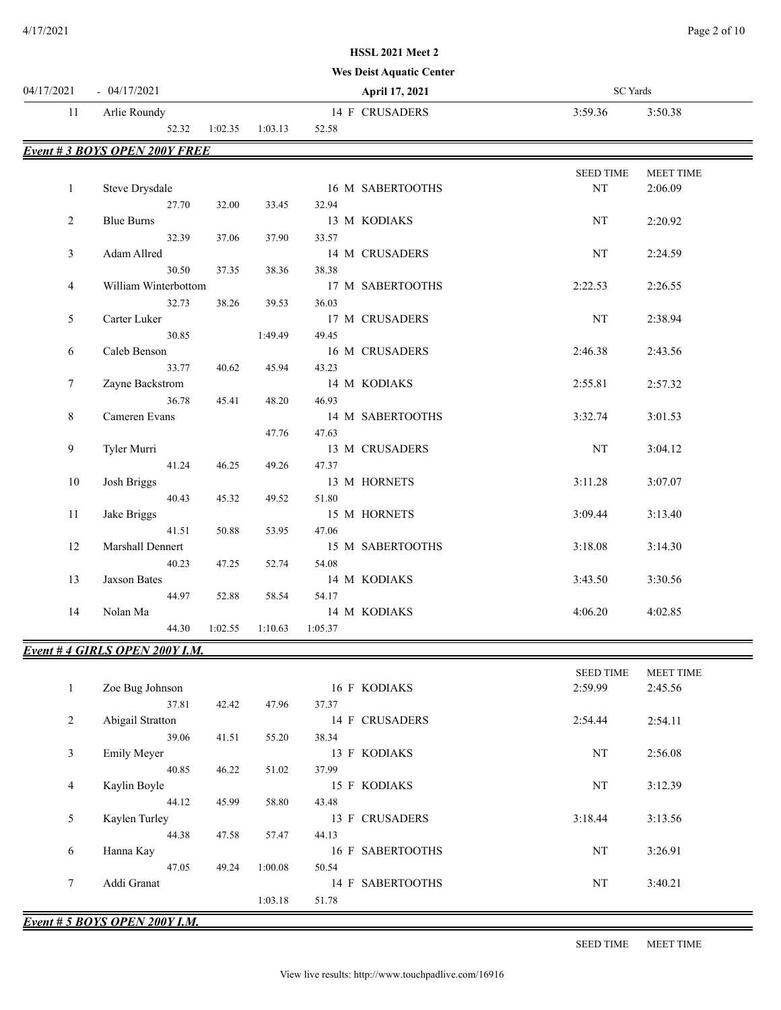#### **Wes Deist Aquatic Center**

| 04/17/2021     | $-04/17/2021$                       |         |         |         | April 17, 2021   | <b>SC</b> Yards  |                  |
|----------------|-------------------------------------|---------|---------|---------|------------------|------------------|------------------|
| 11             | Arlie Roundy                        |         |         |         | 14 F CRUSADERS   | 3:59.36          | 3:50.38          |
|                | 52.32                               | 1:02.35 | 1:03.13 | 52.58   |                  |                  |                  |
|                | <b>Event #3 BOYS OPEN 200Y FREE</b> |         |         |         |                  |                  |                  |
|                |                                     |         |         |         |                  | <b>SEED TIME</b> | <b>MEET TIME</b> |
| $\mathbf{1}$   | Steve Drysdale                      |         |         |         | 16 M SABERTOOTHS | NT               | 2:06.09          |
|                | 27.70                               | 32.00   | 33.45   | 32.94   |                  |                  |                  |
| $\overline{2}$ | <b>Blue Burns</b>                   |         |         |         | 13 M KODIAKS     | $_{\rm NT}$      | 2:20.92          |
|                | 32.39                               | 37.06   | 37.90   | 33.57   |                  |                  |                  |
| 3              | Adam Allred                         |         |         |         | 14 M CRUSADERS   | NT               | 2:24.59          |
|                | 30.50                               | 37.35   | 38.36   | 38.38   |                  |                  |                  |
| 4              | William Winterbottom                |         |         |         | 17 M SABERTOOTHS | 2:22.53          | 2:26.55          |
|                | 32.73                               | 38.26   | 39.53   | 36.03   |                  |                  |                  |
| 5              | Carter Luker                        |         |         |         | 17 M CRUSADERS   | $_{\rm NT}$      | 2:38.94          |
|                | 30.85                               |         | 1:49.49 | 49.45   |                  |                  |                  |
| 6              | Caleb Benson                        |         |         |         | 16 M CRUSADERS   | 2:46.38          | 2:43.56          |
|                | 33.77                               | 40.62   | 45.94   | 43.23   |                  |                  |                  |
| $\tau$         | Zayne Backstrom                     |         |         |         | 14 M KODIAKS     | 2:55.81          | 2:57.32          |
|                | 36.78                               | 45.41   | 48.20   | 46.93   |                  |                  |                  |
| 8              | Cameren Evans                       |         |         |         | 14 M SABERTOOTHS | 3:32.74          | 3:01.53          |
|                |                                     |         | 47.76   | 47.63   |                  |                  |                  |
| 9              | Tyler Murri                         |         |         |         | 13 M CRUSADERS   | NT               | 3:04.12          |
|                | 41.24                               | 46.25   | 49.26   | 47.37   |                  |                  |                  |
| 10             | Josh Briggs                         |         |         |         | 13 M HORNETS     | 3:11.28          | 3:07.07          |
|                | 40.43                               | 45.32   | 49.52   | 51.80   |                  |                  |                  |
| 11             | Jake Briggs                         |         |         |         | 15 M HORNETS     | 3:09.44          | 3:13.40          |
|                | 41.51                               | 50.88   | 53.95   | 47.06   |                  |                  |                  |
| 12             | Marshall Dennert                    |         |         |         | 15 M SABERTOOTHS | 3:18.08          | 3:14.30          |
|                | 40.23                               | 47.25   | 52.74   | 54.08   |                  |                  |                  |
| 13             | <b>Jaxson Bates</b>                 |         |         |         | 14 M KODIAKS     | 3:43.50          | 3:30.56          |
|                | 44.97                               | 52.88   | 58.54   | 54.17   |                  |                  |                  |
| 14             | Nolan Ma                            |         |         |         | 14 M KODIAKS     | 4:06.20          | 4:02.85          |
|                | 44.30                               | 1:02.55 | 1:10.63 | 1:05.37 |                  |                  |                  |

| Event #4 GIRLS OPEN 200Y I.M. |  |  |
|-------------------------------|--|--|
|                               |  |  |

|                |                    |       |         |                            | <b>SEED TIME</b> | <b>MEET TIME</b> |
|----------------|--------------------|-------|---------|----------------------------|------------------|------------------|
| $\mathbf{I}$   | Zoe Bug Johnson    |       |         | 16 F KODIAKS               | 2:59.99          | 2:45.56          |
|                | 37.81              | 42.42 | 47.96   | 37.37                      |                  |                  |
| $\overline{2}$ | Abigail Stratton   |       |         | 14 F CRUSADERS             | 2:54.44          | 2:54.11          |
|                | 39.06              | 41.51 | 55.20   | 38.34                      |                  |                  |
| 3              | <b>Emily Meyer</b> |       |         | 13 F KODIAKS               | NT               | 2:56.08          |
|                | 40.85              | 46.22 | 51.02   | 37.99                      |                  |                  |
| 4              | Kaylin Boyle       |       |         | 15 F KODIAKS               | NT               | 3:12.39          |
|                | 44.12              | 45.99 | 58.80   | 43.48                      |                  |                  |
| 5              | Kaylen Turley      |       |         | 13 F CRUSADERS             | 3:18.44          | 3:13.56          |
|                | 44.38              | 47.58 | 57.47   | 44.13                      |                  |                  |
| 6              | Hanna Kay          |       |         | <b>SABERTOOTHS</b><br>16 F | NT               | 3:26.91          |
|                | 47.05              | 49.24 | 1:00.08 | 50.54                      |                  |                  |
| 7              | Addi Granat        |       |         | <b>SABERTOOTHS</b><br>14 F | NT               | 3:40.21          |
|                |                    |       | 1:03.18 | 51.78                      |                  |                  |
|                |                    |       |         |                            |                  |                  |

*Event # 5 BOYS OPEN 200Y I.M.*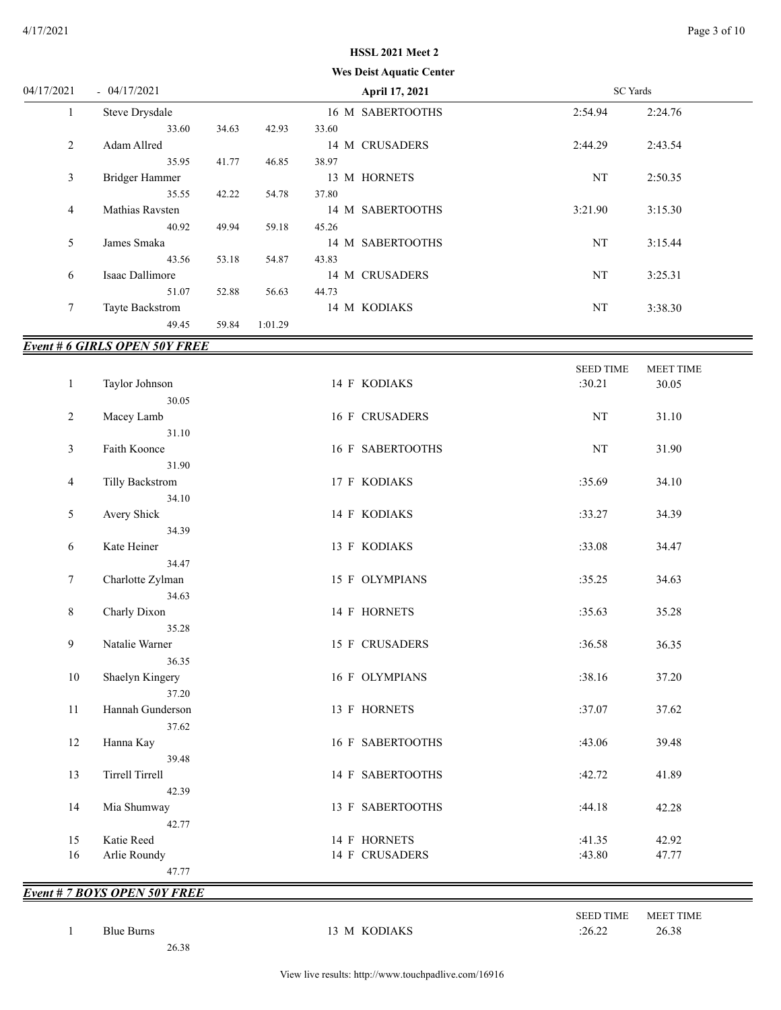# **Wes Deist Aquatic Center HSSL 2021 Meet 2**

| 04/17/2021     | $-04/17/2021$                       |       |         | April 17, 2021   |         | SC Yards |  |
|----------------|-------------------------------------|-------|---------|------------------|---------|----------|--|
| $\mathbf{1}$   | Steve Drysdale                      |       |         | 16 M SABERTOOTHS | 2:54.94 | 2:24.76  |  |
|                | 33.60                               | 34.63 | 42.93   | 33.60            |         |          |  |
| 2              | Adam Allred                         |       |         | 14 M CRUSADERS   | 2:44.29 | 2:43.54  |  |
|                | 35.95                               | 41.77 | 46.85   | 38.97            |         |          |  |
| 3              | Bridger Hammer                      |       |         | 13 M HORNETS     | NT      | 2:50.35  |  |
|                | 35.55                               | 42.22 | 54.78   | 37.80            |         |          |  |
| $\overline{4}$ | Mathias Ravsten                     |       |         | 14 M SABERTOOTHS | 3:21.90 | 3:15.30  |  |
|                | 40.92                               | 49.94 | 59.18   | 45.26            |         |          |  |
| 5              | James Smaka                         |       |         | 14 M SABERTOOTHS | NT      | 3:15.44  |  |
|                | 43.56                               | 53.18 | 54.87   | 43.83            |         |          |  |
| 6              | Isaac Dallimore                     |       |         | 14 M CRUSADERS   | NT      | 3:25.31  |  |
|                | 51.07                               | 52.88 | 56.63   | 44.73            |         |          |  |
| 7              | Tayte Backstrom                     |       |         | 14 M KODIAKS     | NT      | 3:38.30  |  |
|                | 49.45                               | 59.84 | 1:01.29 |                  |         |          |  |
|                | <b>Event #6 GIRLS OPEN 50Y FREE</b> |       |         |                  |         |          |  |

| $\mathbf{1}$ | Taylor Johnson                 | 14 F KODIAKS     | <b>SEED TIME</b><br>:30.21 | MEET TIME<br>30.05 |  |
|--------------|--------------------------------|------------------|----------------------------|--------------------|--|
|              | 30.05                          |                  |                            |                    |  |
| 2            | Macey Lamb<br>31.10            | 16 F CRUSADERS   | NT                         | 31.10              |  |
| 3            | Faith Koonce                   | 16 F SABERTOOTHS | $\rm{NT}$                  | 31.90              |  |
| 4            | 31.90<br>Tilly Backstrom       | 17 F KODIAKS     | :35.69                     | 34.10              |  |
| 5            | 34.10<br>Avery Shick           | 14 F KODIAKS     | :33.27                     | 34.39              |  |
| 6            | 34.39<br>Kate Heiner           | 13 F KODIAKS     | :33.08                     | 34.47              |  |
| 7            | 34.47<br>Charlotte Zylman      | 15 F OLYMPIANS   | :35.25                     | 34.63              |  |
| 8            | 34.63<br>Charly Dixon          | 14 F HORNETS     | :35.63                     | 35.28              |  |
| 9            | 35.28<br>Natalie Warner        | 15 F CRUSADERS   | :36.58                     | 36.35              |  |
| $10\,$       | 36.35<br>Shaelyn Kingery       | 16 F OLYMPIANS   | :38.16                     | 37.20              |  |
| 11           | 37.20<br>Hannah Gunderson      | 13 F HORNETS     | :37.07                     | 37.62              |  |
| 12           | 37.62<br>Hanna Kay             | 16 F SABERTOOTHS | :43.06                     | 39.48              |  |
| 13           | 39.48<br>Tirrell Tirrell       | 14 F SABERTOOTHS | :42.72                     | 41.89              |  |
|              | 42.39                          |                  |                            |                    |  |
| 14           | Mia Shumway<br>42.77           | 13 F SABERTOOTHS | :44.18                     | 42.28              |  |
| 15           | Katie Reed                     | 14 F HORNETS     | :41.35                     | 42.92              |  |
| 16           | Arlie Roundy<br>47.77          | 14 F CRUSADERS   | :43.80                     | 47.77              |  |
|              | $Event # 7 ROVC ODEN 50V EDEF$ |                  |                            |                    |  |

### *Event # 7 BOYS OPEN 50Y FREE*

26.38

1 Blue Burns 13 M KODIAKS :26.22 26.38

SEED TIME MEET TIME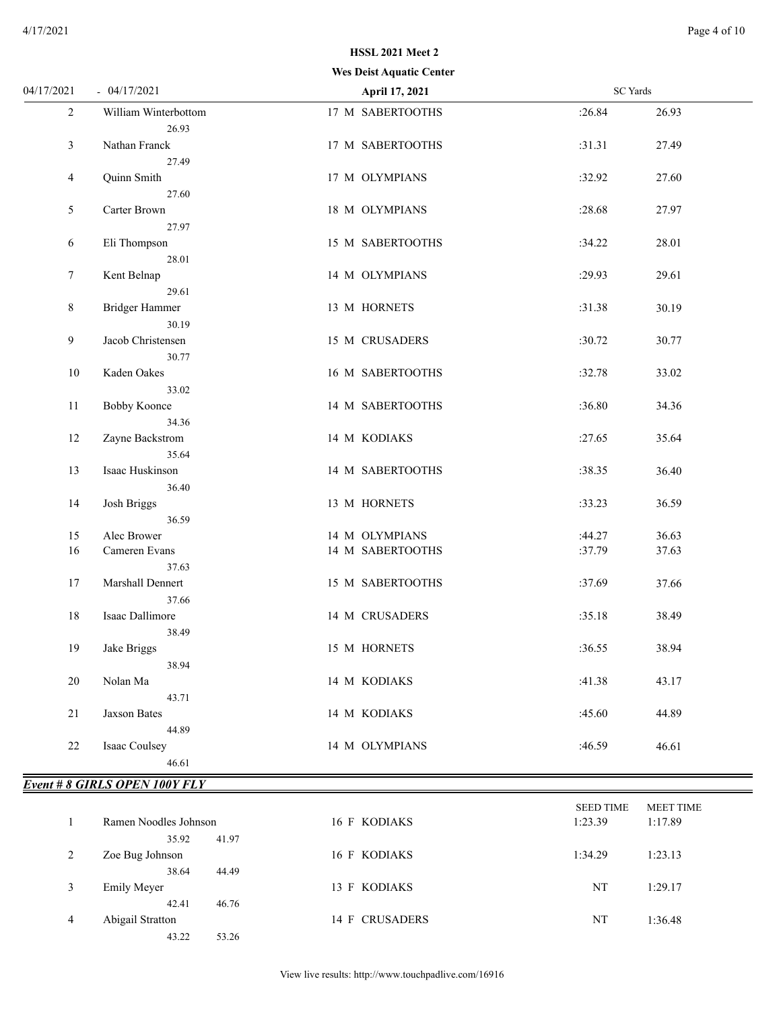# **Wes Deist Aquatic Center HSSL 2021 Meet 2**

| 04/17/2021     | $-04/17/2021$                | April 17, 2021   | <b>SC</b> Yards |  |
|----------------|------------------------------|------------------|-----------------|--|
| $\overline{2}$ | William Winterbottom         | 17 M SABERTOOTHS | :26.84<br>26.93 |  |
|                | 26.93                        |                  |                 |  |
| 3              | Nathan Franck                | 17 M SABERTOOTHS | :31.31<br>27.49 |  |
|                | 27.49                        |                  |                 |  |
| 4              | Quinn Smith                  | 17 M OLYMPIANS   | :32.92<br>27.60 |  |
|                | 27.60                        |                  |                 |  |
| 5              | Carter Brown                 | 18 M OLYMPIANS   | :28.68<br>27.97 |  |
|                | 27.97                        |                  |                 |  |
| 6              | Eli Thompson                 | 15 M SABERTOOTHS | :34.22<br>28.01 |  |
|                | 28.01                        |                  |                 |  |
| $\tau$         | Kent Belnap                  | 14 M OLYMPIANS   | 29.61<br>:29.93 |  |
|                | 29.61                        |                  |                 |  |
| 8              | Bridger Hammer               | 13 M HORNETS     | :31.38<br>30.19 |  |
|                | 30.19                        |                  |                 |  |
| 9              | Jacob Christensen            | 15 M CRUSADERS   | :30.72<br>30.77 |  |
|                | 30.77<br>Kaden Oakes         |                  |                 |  |
| 10             |                              | 16 M SABERTOOTHS | :32.78<br>33.02 |  |
| 11             | 33.02<br><b>Bobby Koonce</b> | 14 M SABERTOOTHS | :36.80<br>34.36 |  |
|                | 34.36                        |                  |                 |  |
| 12             | Zayne Backstrom              | 14 M KODIAKS     | :27.65<br>35.64 |  |
|                | 35.64                        |                  |                 |  |
| 13             | Isaac Huskinson              | 14 M SABERTOOTHS | :38.35<br>36.40 |  |
|                | 36.40                        |                  |                 |  |
| 14             | Josh Briggs                  | 13 M HORNETS     | :33.23<br>36.59 |  |
|                | 36.59                        |                  |                 |  |
| 15             | Alec Brower                  | 14 M OLYMPIANS   | 36.63<br>:44.27 |  |
| 16             | Cameren Evans                | 14 M SABERTOOTHS | :37.79<br>37.63 |  |
|                | 37.63                        |                  |                 |  |
| 17             | Marshall Dennert             | 15 M SABERTOOTHS | :37.69<br>37.66 |  |
|                | 37.66                        |                  |                 |  |
| 18             | Isaac Dallimore              | 14 M CRUSADERS   | :35.18<br>38.49 |  |
|                | 38.49                        |                  |                 |  |
| 19             | Jake Briggs                  | 15 M HORNETS     | :36.55<br>38.94 |  |
|                | 38.94                        |                  |                 |  |
| 20             | Nolan Ma                     | 14 M KODIAKS     | :41.38<br>43.17 |  |
|                | 43.71                        |                  |                 |  |
| 21             | <b>Jaxson Bates</b>          | 14 M KODIAKS     | :45.60<br>44.89 |  |
|                | 44.89                        |                  |                 |  |
| 22             | Isaac Coulsey                | 14 M OLYMPIANS   | :46.59<br>46.61 |  |
|                | 46.61                        |                  |                 |  |

#### *Event # 8 GIRLS OPEN 100Y FLY*

|   |                       |                | <b>SEED TIME</b> | <b>MEET TIME</b> |
|---|-----------------------|----------------|------------------|------------------|
|   | Ramen Noodles Johnson | 16 F KODIAKS   | 1:23.39          | 1:17.89          |
|   | 35.92<br>41.97        |                |                  |                  |
| 2 | Zoe Bug Johnson       | 16 F KODIAKS   | 1:34.29          | 1:23.13          |
|   | 38.64<br>44.49        |                |                  |                  |
| 3 | <b>Emily Meyer</b>    | 13 F KODIAKS   | NT               | 1:29.17          |
|   | 46.76<br>42.41        |                |                  |                  |
| 4 | Abigail Stratton      | 14 F CRUSADERS | NT               | 1:36.48          |
|   | 43.22<br>53.26        |                |                  |                  |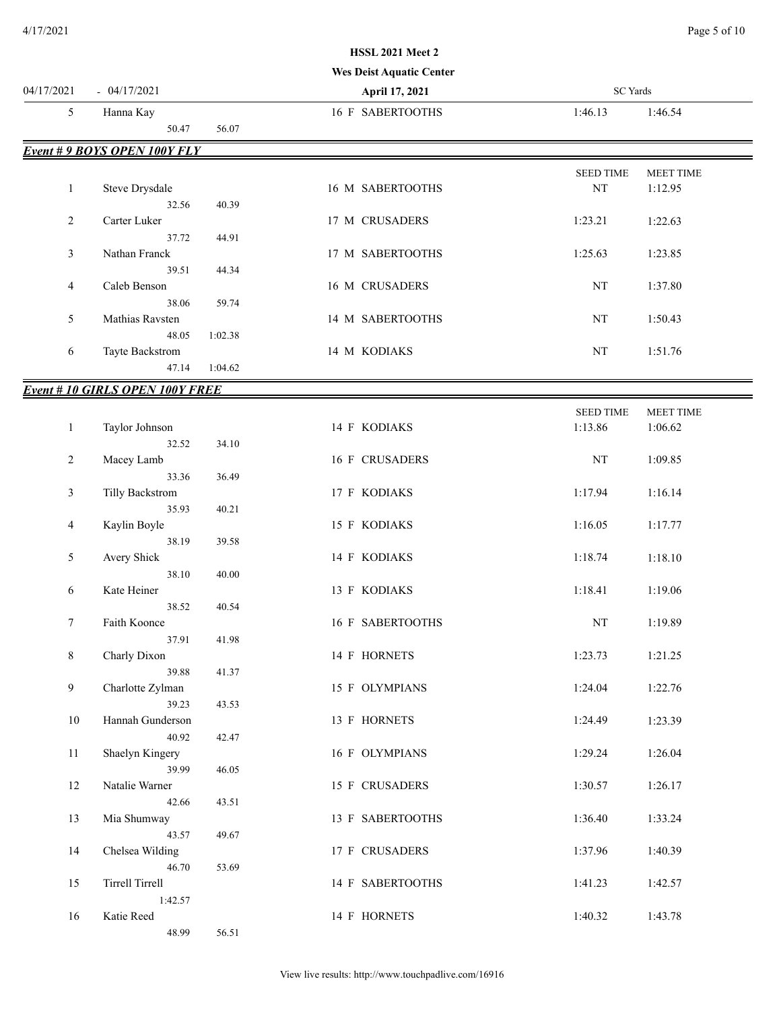#### **Wes Deist Aquatic Center**

| 04/17/2021   | $-04/17/2021$                          |         | April 17, 2021   | $\rm SC$ Yards   |                  |
|--------------|----------------------------------------|---------|------------------|------------------|------------------|
| 5            | Hanna Kay                              |         | 16 F SABERTOOTHS | 1:46.13          | 1:46.54          |
|              | 50.47                                  | 56.07   |                  |                  |                  |
|              | <b>Event #9 BOYS OPEN 100Y FLY</b>     |         |                  |                  |                  |
|              |                                        |         |                  | <b>SEED TIME</b> | MEET TIME        |
| $\mathbf{1}$ | Steve Drysdale                         |         | 16 M SABERTOOTHS | $\rm{NT}$        | 1:12.95          |
|              | 32.56                                  | 40.39   |                  |                  |                  |
| 2            | Carter Luker                           |         | 17 M CRUSADERS   | 1:23.21          | 1:22.63          |
|              | 37.72                                  | 44.91   |                  |                  |                  |
| 3            | Nathan Franck                          |         | 17 M SABERTOOTHS | 1:25.63          | 1:23.85          |
|              | 39.51                                  | 44.34   |                  |                  |                  |
| 4            | Caleb Benson                           |         | 16 M CRUSADERS   | NT               | 1:37.80          |
|              | 38.06                                  | 59.74   |                  |                  |                  |
| 5            | Mathias Ravsten                        |         | 14 M SABERTOOTHS | $\rm{NT}$        | 1:50.43          |
|              | 48.05                                  | 1:02.38 |                  |                  |                  |
| 6            | Tayte Backstrom                        |         | 14 M KODIAKS     | NT               | 1:51.76          |
|              | 47.14                                  | 1:04.62 |                  |                  |                  |
|              | <b>Event # 10 GIRLS OPEN 100Y FREE</b> |         |                  |                  |                  |
|              |                                        |         |                  | <b>SEED TIME</b> | <b>MEET TIME</b> |
| $\mathbf{1}$ | Taylor Johnson                         |         | 14 F KODIAKS     | 1:13.86          | 1:06.62          |
|              | 32.52                                  | 34.10   |                  |                  |                  |
| 2            | Macey Lamb                             |         | 16 F CRUSADERS   | NT               | 1:09.85          |
|              | 33.36                                  | 36.49   |                  |                  |                  |
| 3            | Tilly Backstrom                        |         | 17 F KODIAKS     | 1:17.94          | 1:16.14          |
|              | 35.93                                  | 40.21   |                  |                  |                  |
| 4            | Kaylin Boyle                           |         | 15 F KODIAKS     | 1:16.05          | 1:17.77          |
|              | 38.19                                  | 39.58   |                  |                  |                  |
| 5            | Avery Shick                            |         | 14 F KODIAKS     | 1:18.74          | 1:18.10          |
|              | 38.10                                  | 40.00   |                  |                  |                  |
| 6            | Kate Heiner                            |         | 13 F KODIAKS     | 1:18.41          | 1:19.06          |
|              | 38.52                                  | 40.54   |                  |                  |                  |
| 7            | Faith Koonce                           |         | 16 F SABERTOOTHS | NT               | 1:19.89          |
|              | 37.91                                  | 41.98   |                  |                  |                  |
| 8            | Charly Dixon                           |         | 14 F HORNETS     | 1:23.73          | 1:21.25          |
|              | 39.88                                  | 41.37   |                  |                  |                  |
| 9            | Charlotte Zylman                       |         | 15 F OLYMPIANS   | 1:24.04          | 1:22.76          |
|              | 39.23                                  | 43.53   |                  |                  |                  |
| $10\,$       | Hannah Gunderson                       |         | 13 F HORNETS     | 1:24.49          | 1:23.39          |
|              | 40.92                                  | 42.47   |                  |                  |                  |
| 11           | Shaelyn Kingery                        |         | 16 F OLYMPIANS   | 1:29.24          | 1:26.04          |
|              | 39.99<br>Natalie Warner                | 46.05   |                  | 1:30.57          |                  |
| 12           |                                        |         | 15 F CRUSADERS   |                  | 1:26.17          |
| 13           | 42.66<br>Mia Shumway                   | 43.51   | 13 F SABERTOOTHS | 1:36.40          | 1:33.24          |
|              | 43.57                                  | 49.67   |                  |                  |                  |
| 14           | Chelsea Wilding                        |         | 17 F CRUSADERS   | 1:37.96          |                  |
|              | 46.70                                  | 53.69   |                  |                  | 1:40.39          |
| 15           | Tirrell Tirrell                        |         | 14 F SABERTOOTHS | 1:41.23          | 1:42.57          |
|              | 1:42.57                                |         |                  |                  |                  |
| 16           | Katie Reed                             |         | 14 F HORNETS     | 1:40.32          | 1:43.78          |
|              | 48.99                                  | 56.51   |                  |                  |                  |
|              |                                        |         |                  |                  |                  |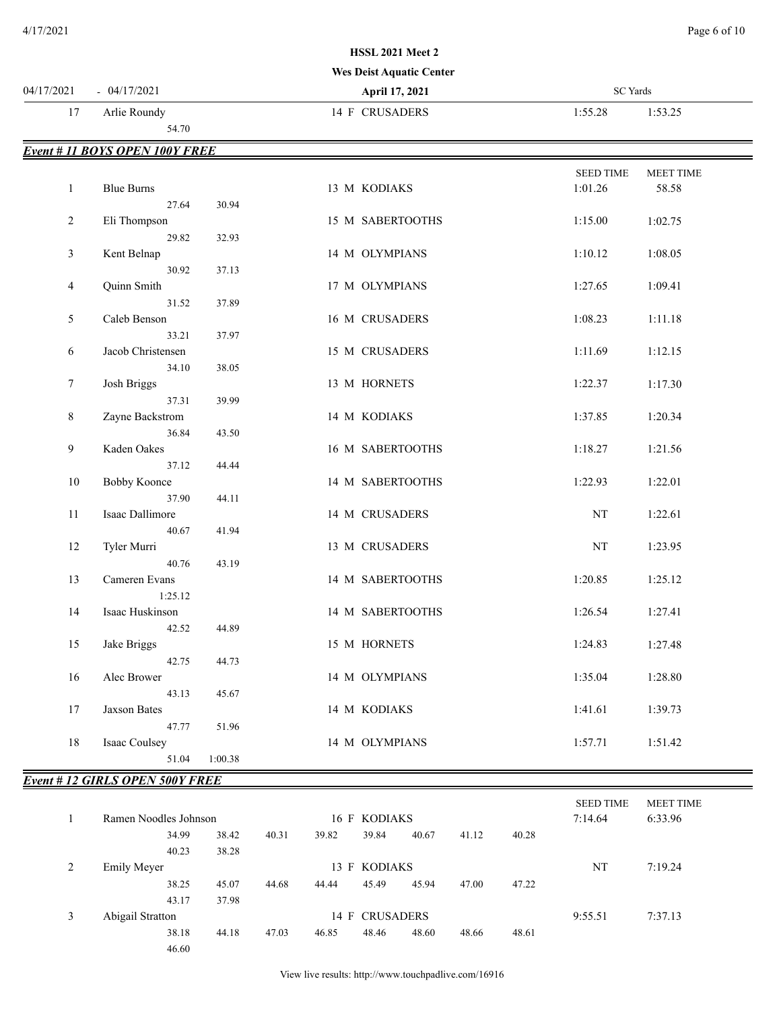#### **Wes Deist Aquatic Center**

| 14 F CRUSADERS<br>17<br>Arlie Roundy<br>1:55.28<br>1:53.25<br>54.70<br>Event # 11 BOYS OPEN 100Y FREE<br><b>SEED TIME</b><br><b>MEET TIME</b><br>$\mathbf{1}$<br><b>Blue Burns</b><br>13 M KODIAKS<br>1:01.26<br>58.58<br>27.64<br>30.94<br>1:15.00<br>$\overline{2}$<br>Eli Thompson<br>15 M SABERTOOTHS<br>1:02.75<br>29.82<br>32.93<br>$\mathfrak{Z}$<br>Kent Belnap<br>14 M OLYMPIANS<br>1:10.12<br>1:08.05<br>30.92<br>37.13<br>Quinn Smith<br>17 M OLYMPIANS<br>1:27.65<br>4<br>1:09.41<br>31.52<br>37.89<br>Caleb Benson<br>16 M CRUSADERS<br>1:08.23<br>5<br>1:11.18<br>33.21<br>37.97<br>Jacob Christensen<br>1:11.69<br>1:12.15<br>6<br>15 M CRUSADERS<br>34.10<br>38.05<br>Josh Briggs<br>13 M HORNETS<br>1:22.37<br>1:17.30<br>7<br>37.31<br>39.99<br>Zayne Backstrom<br>14 M KODIAKS<br>1:37.85<br>1:20.34<br>8<br>36.84<br>43.50<br>Kaden Oakes<br>9<br>16 M SABERTOOTHS<br>1:18.27<br>1:21.56<br>37.12<br>44.44<br><b>Bobby Koonce</b><br>1:22.93<br>1:22.01<br>10<br>14 M SABERTOOTHS<br>37.90<br>44.11<br>Isaac Dallimore<br>14 M CRUSADERS<br>NT<br>11<br>1:22.61<br>40.67<br>41.94<br>Tyler Murri<br>13 M CRUSADERS<br>NT<br>12<br>1:23.95<br>40.76<br>43.19<br>Cameren Evans<br>14 M SABERTOOTHS<br>1:20.85<br>1:25.12<br>13<br>1:25.12<br>14<br>Isaac Huskinson<br>14 M SABERTOOTHS<br>1:26.54<br>1:27.41<br>44.89<br>42.52<br>Jake Briggs<br>1:24.83<br>1:27.48<br>15<br>15 M HORNETS<br>42.75<br>44.73<br>Alec Brower<br>1:35.04<br>1:28.80<br>16<br>14 M OLYMPIANS | 04/17/2021 | $-04/17/2021$ | April 17, 2021 | SC Yards |  |
|--------------------------------------------------------------------------------------------------------------------------------------------------------------------------------------------------------------------------------------------------------------------------------------------------------------------------------------------------------------------------------------------------------------------------------------------------------------------------------------------------------------------------------------------------------------------------------------------------------------------------------------------------------------------------------------------------------------------------------------------------------------------------------------------------------------------------------------------------------------------------------------------------------------------------------------------------------------------------------------------------------------------------------------------------------------------------------------------------------------------------------------------------------------------------------------------------------------------------------------------------------------------------------------------------------------------------------------------------------------------------------------------------------------------------------------------------------------------------------------------|------------|---------------|----------------|----------|--|
|                                                                                                                                                                                                                                                                                                                                                                                                                                                                                                                                                                                                                                                                                                                                                                                                                                                                                                                                                                                                                                                                                                                                                                                                                                                                                                                                                                                                                                                                                            |            |               |                |          |  |
|                                                                                                                                                                                                                                                                                                                                                                                                                                                                                                                                                                                                                                                                                                                                                                                                                                                                                                                                                                                                                                                                                                                                                                                                                                                                                                                                                                                                                                                                                            |            |               |                |          |  |
|                                                                                                                                                                                                                                                                                                                                                                                                                                                                                                                                                                                                                                                                                                                                                                                                                                                                                                                                                                                                                                                                                                                                                                                                                                                                                                                                                                                                                                                                                            |            |               |                |          |  |
|                                                                                                                                                                                                                                                                                                                                                                                                                                                                                                                                                                                                                                                                                                                                                                                                                                                                                                                                                                                                                                                                                                                                                                                                                                                                                                                                                                                                                                                                                            |            |               |                |          |  |
|                                                                                                                                                                                                                                                                                                                                                                                                                                                                                                                                                                                                                                                                                                                                                                                                                                                                                                                                                                                                                                                                                                                                                                                                                                                                                                                                                                                                                                                                                            |            |               |                |          |  |
|                                                                                                                                                                                                                                                                                                                                                                                                                                                                                                                                                                                                                                                                                                                                                                                                                                                                                                                                                                                                                                                                                                                                                                                                                                                                                                                                                                                                                                                                                            |            |               |                |          |  |
|                                                                                                                                                                                                                                                                                                                                                                                                                                                                                                                                                                                                                                                                                                                                                                                                                                                                                                                                                                                                                                                                                                                                                                                                                                                                                                                                                                                                                                                                                            |            |               |                |          |  |
|                                                                                                                                                                                                                                                                                                                                                                                                                                                                                                                                                                                                                                                                                                                                                                                                                                                                                                                                                                                                                                                                                                                                                                                                                                                                                                                                                                                                                                                                                            |            |               |                |          |  |
|                                                                                                                                                                                                                                                                                                                                                                                                                                                                                                                                                                                                                                                                                                                                                                                                                                                                                                                                                                                                                                                                                                                                                                                                                                                                                                                                                                                                                                                                                            |            |               |                |          |  |
|                                                                                                                                                                                                                                                                                                                                                                                                                                                                                                                                                                                                                                                                                                                                                                                                                                                                                                                                                                                                                                                                                                                                                                                                                                                                                                                                                                                                                                                                                            |            |               |                |          |  |
|                                                                                                                                                                                                                                                                                                                                                                                                                                                                                                                                                                                                                                                                                                                                                                                                                                                                                                                                                                                                                                                                                                                                                                                                                                                                                                                                                                                                                                                                                            |            |               |                |          |  |
|                                                                                                                                                                                                                                                                                                                                                                                                                                                                                                                                                                                                                                                                                                                                                                                                                                                                                                                                                                                                                                                                                                                                                                                                                                                                                                                                                                                                                                                                                            |            |               |                |          |  |
|                                                                                                                                                                                                                                                                                                                                                                                                                                                                                                                                                                                                                                                                                                                                                                                                                                                                                                                                                                                                                                                                                                                                                                                                                                                                                                                                                                                                                                                                                            |            |               |                |          |  |
|                                                                                                                                                                                                                                                                                                                                                                                                                                                                                                                                                                                                                                                                                                                                                                                                                                                                                                                                                                                                                                                                                                                                                                                                                                                                                                                                                                                                                                                                                            |            |               |                |          |  |
|                                                                                                                                                                                                                                                                                                                                                                                                                                                                                                                                                                                                                                                                                                                                                                                                                                                                                                                                                                                                                                                                                                                                                                                                                                                                                                                                                                                                                                                                                            |            |               |                |          |  |
|                                                                                                                                                                                                                                                                                                                                                                                                                                                                                                                                                                                                                                                                                                                                                                                                                                                                                                                                                                                                                                                                                                                                                                                                                                                                                                                                                                                                                                                                                            |            |               |                |          |  |
|                                                                                                                                                                                                                                                                                                                                                                                                                                                                                                                                                                                                                                                                                                                                                                                                                                                                                                                                                                                                                                                                                                                                                                                                                                                                                                                                                                                                                                                                                            |            |               |                |          |  |
|                                                                                                                                                                                                                                                                                                                                                                                                                                                                                                                                                                                                                                                                                                                                                                                                                                                                                                                                                                                                                                                                                                                                                                                                                                                                                                                                                                                                                                                                                            |            |               |                |          |  |
|                                                                                                                                                                                                                                                                                                                                                                                                                                                                                                                                                                                                                                                                                                                                                                                                                                                                                                                                                                                                                                                                                                                                                                                                                                                                                                                                                                                                                                                                                            |            |               |                |          |  |
|                                                                                                                                                                                                                                                                                                                                                                                                                                                                                                                                                                                                                                                                                                                                                                                                                                                                                                                                                                                                                                                                                                                                                                                                                                                                                                                                                                                                                                                                                            |            |               |                |          |  |
|                                                                                                                                                                                                                                                                                                                                                                                                                                                                                                                                                                                                                                                                                                                                                                                                                                                                                                                                                                                                                                                                                                                                                                                                                                                                                                                                                                                                                                                                                            |            |               |                |          |  |
|                                                                                                                                                                                                                                                                                                                                                                                                                                                                                                                                                                                                                                                                                                                                                                                                                                                                                                                                                                                                                                                                                                                                                                                                                                                                                                                                                                                                                                                                                            |            |               |                |          |  |
|                                                                                                                                                                                                                                                                                                                                                                                                                                                                                                                                                                                                                                                                                                                                                                                                                                                                                                                                                                                                                                                                                                                                                                                                                                                                                                                                                                                                                                                                                            |            |               |                |          |  |
|                                                                                                                                                                                                                                                                                                                                                                                                                                                                                                                                                                                                                                                                                                                                                                                                                                                                                                                                                                                                                                                                                                                                                                                                                                                                                                                                                                                                                                                                                            |            |               |                |          |  |
|                                                                                                                                                                                                                                                                                                                                                                                                                                                                                                                                                                                                                                                                                                                                                                                                                                                                                                                                                                                                                                                                                                                                                                                                                                                                                                                                                                                                                                                                                            |            |               |                |          |  |
|                                                                                                                                                                                                                                                                                                                                                                                                                                                                                                                                                                                                                                                                                                                                                                                                                                                                                                                                                                                                                                                                                                                                                                                                                                                                                                                                                                                                                                                                                            |            |               |                |          |  |
|                                                                                                                                                                                                                                                                                                                                                                                                                                                                                                                                                                                                                                                                                                                                                                                                                                                                                                                                                                                                                                                                                                                                                                                                                                                                                                                                                                                                                                                                                            |            |               |                |          |  |
|                                                                                                                                                                                                                                                                                                                                                                                                                                                                                                                                                                                                                                                                                                                                                                                                                                                                                                                                                                                                                                                                                                                                                                                                                                                                                                                                                                                                                                                                                            |            |               |                |          |  |
|                                                                                                                                                                                                                                                                                                                                                                                                                                                                                                                                                                                                                                                                                                                                                                                                                                                                                                                                                                                                                                                                                                                                                                                                                                                                                                                                                                                                                                                                                            |            |               |                |          |  |
|                                                                                                                                                                                                                                                                                                                                                                                                                                                                                                                                                                                                                                                                                                                                                                                                                                                                                                                                                                                                                                                                                                                                                                                                                                                                                                                                                                                                                                                                                            |            |               |                |          |  |
|                                                                                                                                                                                                                                                                                                                                                                                                                                                                                                                                                                                                                                                                                                                                                                                                                                                                                                                                                                                                                                                                                                                                                                                                                                                                                                                                                                                                                                                                                            |            |               |                |          |  |
|                                                                                                                                                                                                                                                                                                                                                                                                                                                                                                                                                                                                                                                                                                                                                                                                                                                                                                                                                                                                                                                                                                                                                                                                                                                                                                                                                                                                                                                                                            |            |               |                |          |  |
|                                                                                                                                                                                                                                                                                                                                                                                                                                                                                                                                                                                                                                                                                                                                                                                                                                                                                                                                                                                                                                                                                                                                                                                                                                                                                                                                                                                                                                                                                            |            |               |                |          |  |
|                                                                                                                                                                                                                                                                                                                                                                                                                                                                                                                                                                                                                                                                                                                                                                                                                                                                                                                                                                                                                                                                                                                                                                                                                                                                                                                                                                                                                                                                                            |            |               |                |          |  |
|                                                                                                                                                                                                                                                                                                                                                                                                                                                                                                                                                                                                                                                                                                                                                                                                                                                                                                                                                                                                                                                                                                                                                                                                                                                                                                                                                                                                                                                                                            |            |               |                |          |  |
| 43.13<br>45.67                                                                                                                                                                                                                                                                                                                                                                                                                                                                                                                                                                                                                                                                                                                                                                                                                                                                                                                                                                                                                                                                                                                                                                                                                                                                                                                                                                                                                                                                             |            |               |                |          |  |
| 1:41.61<br>17<br>Jaxson Bates<br>14 M KODIAKS<br>1:39.73                                                                                                                                                                                                                                                                                                                                                                                                                                                                                                                                                                                                                                                                                                                                                                                                                                                                                                                                                                                                                                                                                                                                                                                                                                                                                                                                                                                                                                   |            |               |                |          |  |
| 47.77<br>51.96                                                                                                                                                                                                                                                                                                                                                                                                                                                                                                                                                                                                                                                                                                                                                                                                                                                                                                                                                                                                                                                                                                                                                                                                                                                                                                                                                                                                                                                                             |            |               |                |          |  |
| 18<br>Isaac Coulsey<br>14 M OLYMPIANS<br>1:57.71<br>1:51.42                                                                                                                                                                                                                                                                                                                                                                                                                                                                                                                                                                                                                                                                                                                                                                                                                                                                                                                                                                                                                                                                                                                                                                                                                                                                                                                                                                                                                                |            |               |                |          |  |
| 51.04<br>1:00.38                                                                                                                                                                                                                                                                                                                                                                                                                                                                                                                                                                                                                                                                                                                                                                                                                                                                                                                                                                                                                                                                                                                                                                                                                                                                                                                                                                                                                                                                           |            |               |                |          |  |

# *Event # 12 GIRLS OPEN 500Y FREE*

|                  |                                    |       |       |       |                |       |         |       | <b>SEED TIME</b> | <b>MEET TIME</b> |  |
|------------------|------------------------------------|-------|-------|-------|----------------|-------|---------|-------|------------------|------------------|--|
|                  | Ramen Noodles Johnson              |       |       |       | 16 F KODIAKS   |       |         |       | 7:14.64          | 6:33.96          |  |
|                  | 34.99                              | 38.42 | 40.31 | 39.82 | 39.84          | 40.67 | 41.12   | 40.28 |                  |                  |  |
|                  | 40.23                              | 38.28 |       |       |                |       |         |       |                  |                  |  |
| 2                | 13 F KODIAKS<br><b>Emily Meyer</b> |       |       |       |                | NT    | 7:19.24 |       |                  |                  |  |
|                  | 38.25                              | 45.07 | 44.68 | 44.44 | 45.49          | 45.94 | 47.00   | 47.22 |                  |                  |  |
|                  | 43.17                              | 37.98 |       |       |                |       |         |       |                  |                  |  |
| Abigail Stratton |                                    |       |       |       | 14 F CRUSADERS |       |         |       | 9:55.51          | 7:37.13          |  |
|                  | 38.18                              | 44.18 | 47.03 | 46.85 | 48.46          | 48.60 | 48.66   | 48.61 |                  |                  |  |
|                  | 46.60                              |       |       |       |                |       |         |       |                  |                  |  |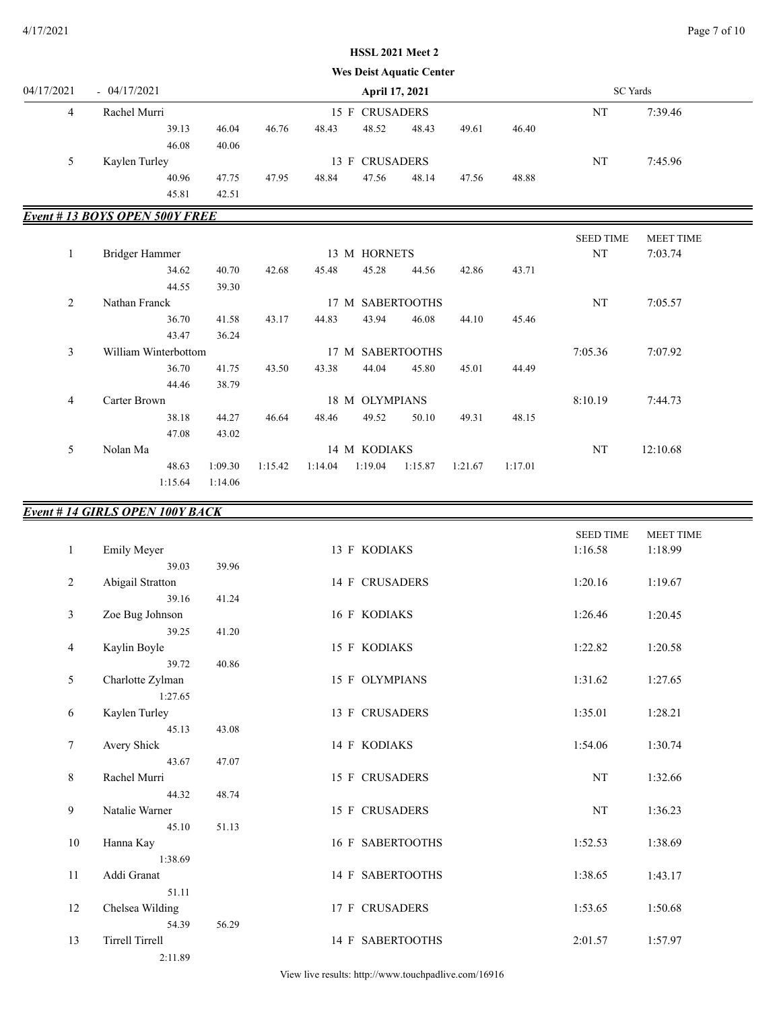#### 4/17/2021 Page 7 of 10

# **Wes Deist Aquatic Center HSSL 2021 Meet 2**

| 04/17/2021 | $-04/17/2021$ |       |       |       |       | April 17, 2021 |       |       |       |    | SC Yards |  |
|------------|---------------|-------|-------|-------|-------|----------------|-------|-------|-------|----|----------|--|
| 4          | Rachel Murri  |       |       |       |       | 15 F CRUSADERS |       |       |       | NT | 7:39.46  |  |
|            |               | 39.13 | 46.04 | 46.76 | 48.43 | 48.52          | 48.43 | 49.61 | 46.40 |    |          |  |
|            |               | 46.08 | 40.06 |       |       |                |       |       |       |    |          |  |
| 5          | Kaylen Turley |       |       |       |       | 13 F CRUSADERS |       |       |       | NT | 7:45.96  |  |
|            |               | 40.96 | 47.75 | 47.95 | 48.84 | 47.56          | 48.14 | 47.56 | 48.88 |    |          |  |
|            |               | 45.81 | 42.51 |       |       |                |       |       |       |    |          |  |

# *Event # 13 BOYS OPEN 500Y FREE*

|         |                      |         |         |         |                |                  |         |         | <b>SEED TIME</b> | <b>MEET TIME</b> |  |
|---------|----------------------|---------|---------|---------|----------------|------------------|---------|---------|------------------|------------------|--|
| $\perp$ | Bridger Hammer       |         |         |         | 13 M HORNETS   |                  |         |         | NT               | 7:03.74          |  |
|         | 34.62                | 40.70   | 42.68   | 45.48   | 45.28          | 44.56            | 42.86   | 43.71   |                  |                  |  |
|         | 44.55                | 39.30   |         |         |                |                  |         |         |                  |                  |  |
| 2       | Nathan Franck        |         |         |         |                | 17 M SABERTOOTHS |         |         | NT               | 7:05.57          |  |
|         | 36.70                | 41.58   | 43.17   | 44.83   | 43.94          | 46.08            | 44.10   | 45.46   |                  |                  |  |
|         | 43.47                | 36.24   |         |         |                |                  |         |         |                  |                  |  |
| 3       | William Winterbottom |         |         |         |                | 17 M SABERTOOTHS |         |         | 7:05.36          | 7:07.92          |  |
|         | 36.70                | 41.75   | 43.50   | 43.38   | 44.04          | 45.80            | 45.01   | 44.49   |                  |                  |  |
|         | 44.46                | 38.79   |         |         |                |                  |         |         |                  |                  |  |
| 4       | Carter Brown         |         |         |         | 18 M OLYMPIANS |                  |         |         | 8:10.19          | 7:44.73          |  |
|         | 38.18                | 44.27   | 46.64   | 48.46   | 49.52          | 50.10            | 49.31   | 48.15   |                  |                  |  |
|         | 47.08                | 43.02   |         |         |                |                  |         |         |                  |                  |  |
| 5.      | Nolan Ma             |         |         |         | 14 M KODIAKS   |                  |         |         | NT               | 12:10.68         |  |
|         | 48.63                | 1:09.30 | 1:15.42 | 1:14.04 | 1:19.04        | 1:15.87          | 1:21.67 | 1:17.01 |                  |                  |  |
|         | 1:15.64              | 1:14.06 |         |         |                |                  |         |         |                  |                  |  |

| <b>Event #14 GIRLS OPEN 100Y BACK</b> |                         |       |                  |                  |                  |
|---------------------------------------|-------------------------|-------|------------------|------------------|------------------|
|                                       |                         |       |                  | <b>SEED TIME</b> | <b>MEET TIME</b> |
| $\mathbf{1}$                          | <b>Emily Meyer</b>      |       | 13 F KODIAKS     | 1:16.58          | 1:18.99          |
|                                       | 39.03                   | 39.96 |                  |                  |                  |
| $\overline{2}$                        | Abigail Stratton        |       | 14 F CRUSADERS   | 1:20.16          | 1:19.67          |
|                                       | 39.16                   | 41.24 |                  |                  |                  |
| 3                                     | Zoe Bug Johnson         |       | 16 F KODIAKS     | 1:26.46          | 1:20.45          |
|                                       | 39.25                   | 41.20 |                  |                  |                  |
| $\overline{4}$                        | Kaylin Boyle            |       | 15 F KODIAKS     | 1:22.82          | 1:20.58          |
|                                       | 39.72                   | 40.86 |                  |                  |                  |
| 5                                     | Charlotte Zylman        |       | 15 F OLYMPIANS   | 1:31.62          | 1:27.65          |
|                                       | 1:27.65                 |       |                  |                  |                  |
| 6                                     | Kaylen Turley           |       | 13 F CRUSADERS   | 1:35.01          | 1:28.21          |
|                                       | 45.13                   | 43.08 |                  |                  |                  |
| 7                                     | Avery Shick             |       | 14 F KODIAKS     | 1:54.06          | 1:30.74          |
|                                       | 43.67                   | 47.07 |                  |                  |                  |
| 8                                     | Rachel Murri            |       | 15 F CRUSADERS   | $\rm{NT}$        | 1:32.66          |
| 9                                     | 44.32<br>Natalie Warner | 48.74 | 15 F CRUSADERS   | NT               | 1:36.23          |
|                                       | 45.10                   | 51.13 |                  |                  |                  |
| 10                                    | Hanna Kay               |       | 16 F SABERTOOTHS | 1:52.53          | 1:38.69          |
|                                       | 1:38.69                 |       |                  |                  |                  |
| 11                                    | Addi Granat             |       | 14 F SABERTOOTHS | 1:38.65          | 1:43.17          |
|                                       | 51.11                   |       |                  |                  |                  |
| $12\,$                                | Chelsea Wilding         |       | 17 F CRUSADERS   | 1:53.65          | 1:50.68          |
|                                       | 54.39                   | 56.29 |                  |                  |                  |
| 13                                    | <b>Tirrell Tirrell</b>  |       | 14 F SABERTOOTHS | 2:01.57          | 1:57.97          |
|                                       | 2:11.89                 |       |                  |                  |                  |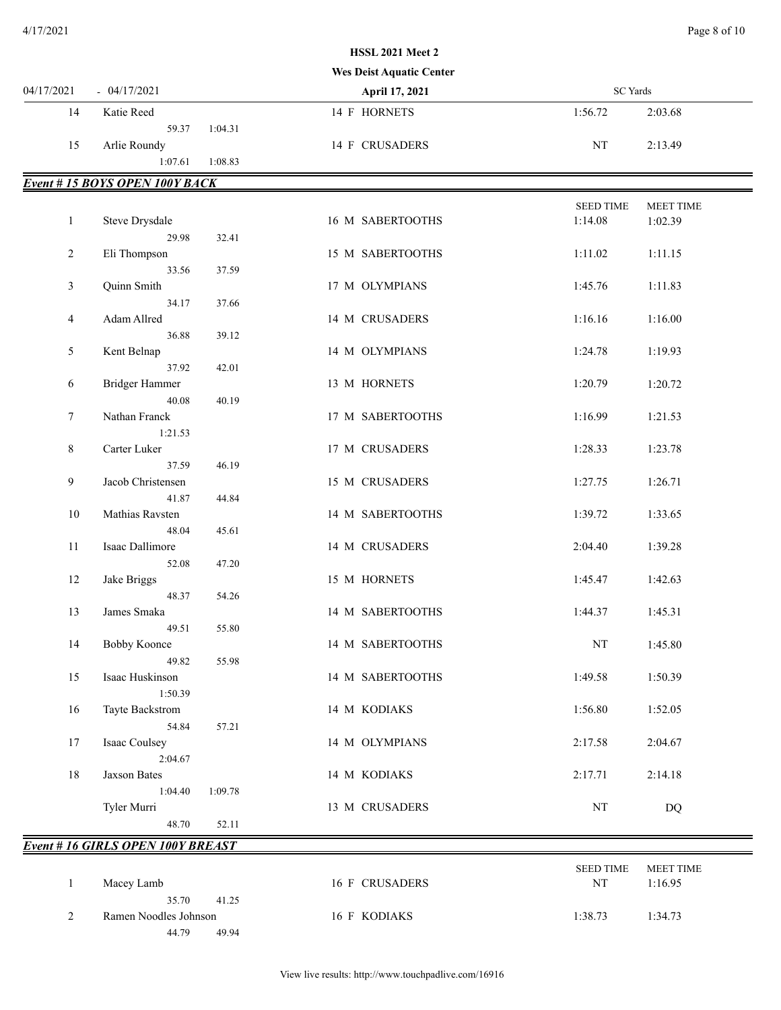# 04/17/2021 - 04/17/2021 **April 17, 2021** SC Yards **Wes Deist Aquatic Center** 14 Katie Reed 14 F HORNETS 1:56.72 2:03.68 59.37 1:04.31 15 Arlie Roundy 2:13.49 1:07.61 1:08.83 *Event # 15 BOYS OPEN 100Y BACK* SEED TIME MEET TIME 1 Steve Drysdale 16 M SABERTOOTHS 1:14.08 1:02.39 29.98 32.41 2 Eli Thompson 15 M SABERTOOTHS 1:11.02 1:11.15 33.56 37.59 3 Quinn Smith 17 M OLYMPIANS 1:45.76 1:11.83 34.17 37.66 4 Adam Allred 1:16.00 14 M CRUSADERS 1:16.16 1:16.00 36.88 39.12 5 Kent Belnap 14 M OLYMPIANS 1:24.78 1:19.93 37.92 42.01 6 Bridger Hammer 13 M HORNETS 1:20.79 1:20.72 40.08 40.19 7 Nathan Franck 17 M SABERTOOTHS 1:16.99 1:21.53 1:21.53 8 Carter Luker 117 M CRUSADERS 1:28.33 1:23.78 37.59 46.19 9 Jacob Christensen 15 M CRUSADERS 1:27.75 1:26.71 41.87 44.84 10 Mathias Ravsten 14 M SABERTOOTHS 1:39.72 1:33.65 48.04 45.61 11 Isaac Dallimore 14 M CRUSADERS 2:04.40 1:39.28 52.08 47.20 12 Jake Briggs 15 M HORNETS 1:45.47 1:42.63 48.37 54.26 13 James Smaka 14 M SABERTOOTHS 1:44.37 1:45.31 49.51 55.80 14 Bobby Koonce 14 M SABERTOOTHS NT 1:45.80 49.82 55.98 15 Isaac Huskinson 14 M SABERTOOTHS 1:49.58 1:50.39 1:50.39 16 Tayte Backstrom 14 M KODIAKS 1:56.80 1:52.05 54.84 57.21 17 Isaac Coulsey 14 M OLYMPIANS 2:17.58 2:04.67 2:04.67 18 Jaxson Bates 14 M KODIAKS 2:17.71 2:14.18 1:04.40 1:09.78 Tyler Murri 13 M CRUSADERS NT DQ 48.70 52.11 *Event # 16 GIRLS OPEN 100Y BREAST* SEED TIME MEET TIME 1 Macey Lamb 16 F CRUSADERS NT 1:16.95 35.70 41.25 2 Ramen Noodles Johnson 16 F KODIAKS 1:38.73 1:34.73 44.79 49.94

**HSSL 2021 Meet 2**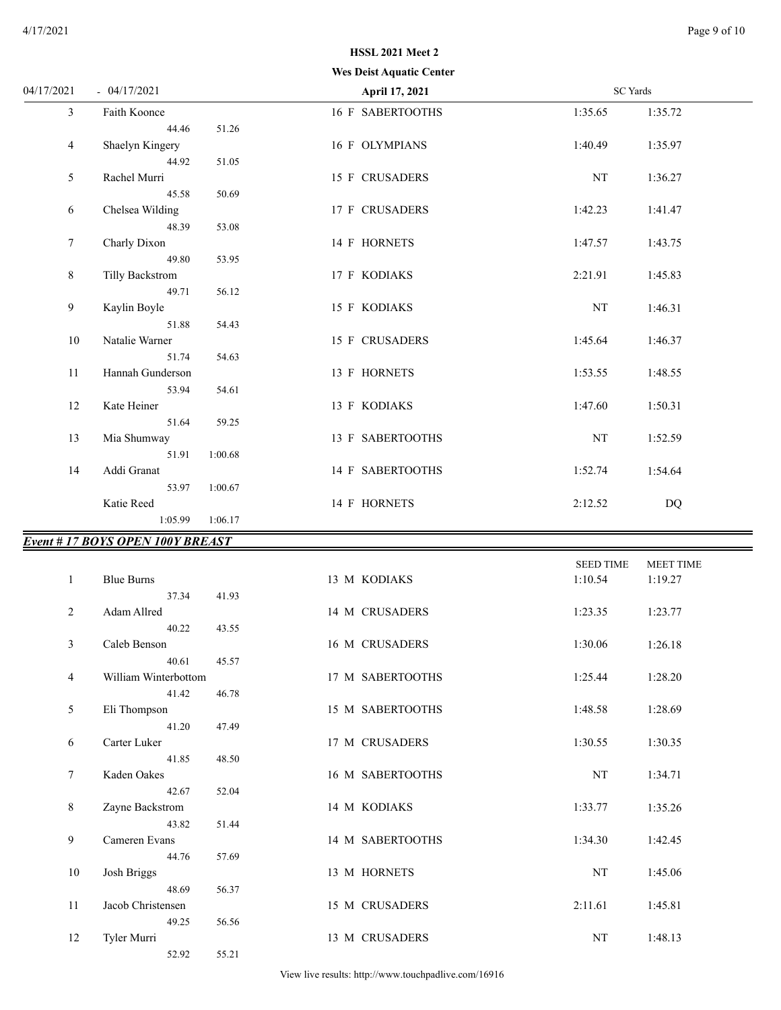|                 |                                        | <b>Wes Deist Aquatic Center</b> |                            |                  |
|-----------------|----------------------------------------|---------------------------------|----------------------------|------------------|
| 04/17/2021      | $-04/17/2021$                          | April 17, 2021                  | <b>SC</b> Yards            |                  |
| $\mathfrak{Z}$  | Faith Koonce                           | 16 F SABERTOOTHS                | 1:35.65                    | 1:35.72          |
|                 | 44.46<br>51.26                         |                                 |                            |                  |
| 4               | Shaelyn Kingery                        | 16 F OLYMPIANS                  | 1:40.49                    | 1:35.97          |
|                 | 44.92<br>51.05                         |                                 |                            |                  |
| 5               | Rachel Murri                           | 15 F CRUSADERS                  | NT                         | 1:36.27          |
|                 | 50.69<br>45.58                         |                                 |                            |                  |
| 6               | Chelsea Wilding                        | 17 F CRUSADERS                  | 1:42.23                    | 1:41.47          |
|                 | 48.39<br>53.08                         |                                 |                            |                  |
| $7\phantom{.0}$ | Charly Dixon                           | 14 F HORNETS                    | 1:47.57                    | 1:43.75          |
|                 | 49.80<br>53.95                         |                                 |                            |                  |
| 8               | <b>Tilly Backstrom</b>                 | 17 F KODIAKS                    | 2:21.91                    | 1:45.83          |
|                 | 49.71<br>56.12                         |                                 |                            |                  |
| 9               | Kaylin Boyle                           | 15 F KODIAKS                    | NT                         | 1:46.31          |
|                 | 51.88<br>54.43                         |                                 |                            |                  |
| 10              | Natalie Warner                         | 15 F CRUSADERS                  | 1:45.64                    | 1:46.37          |
|                 | 51.74<br>54.63                         |                                 |                            |                  |
| 11              | Hannah Gunderson                       | 13 F HORNETS                    | 1:53.55                    | 1:48.55          |
|                 | 54.61<br>53.94                         |                                 |                            |                  |
| 12              | Kate Heiner                            | 13 F KODIAKS                    | 1:47.60                    | 1:50.31          |
|                 | 51.64<br>59.25                         |                                 |                            |                  |
| 13              | Mia Shumway                            | 13 F SABERTOOTHS                | NT                         | 1:52.59          |
|                 | 51.91<br>1:00.68                       |                                 |                            |                  |
| 14              | Addi Granat                            | 14 F SABERTOOTHS                | 1:52.74                    | 1:54.64          |
|                 | 53.97<br>1:00.67                       |                                 |                            |                  |
|                 | Katie Reed                             | 14 F HORNETS                    | 2:12.52                    | DQ               |
|                 | 1:05.99<br>1:06.17                     |                                 |                            |                  |
|                 | <b>Event #17 BOYS OPEN 100Y BREAST</b> |                                 |                            |                  |
|                 |                                        |                                 |                            |                  |
|                 |                                        |                                 | <b>SEED TIME</b>           | <b>MEET TIME</b> |
| $\mathbf{1}$    | <b>Blue Burns</b>                      | 13 M KODIAKS                    | 1:10.54                    | 1:19.27          |
|                 | 41.93<br>37.34                         |                                 |                            |                  |
| 2               | Adam Allred                            | 14 M CRUSADERS                  | 1:23.35                    | 1:23.77          |
|                 | 40.22<br>43.55                         |                                 |                            |                  |
| 3               | Caleb Benson                           | 16 M CRUSADERS                  | 1:30.06                    | 1:26.18          |
|                 | 40.61<br>45.57                         |                                 |                            |                  |
| 4               | William Winterbottom                   | 17 M SABERTOOTHS                | 1:25.44                    | 1:28.20          |
|                 | 41.42<br>46.78                         |                                 |                            |                  |
| 5               | Eli Thompson                           | 15 M SABERTOOTHS                | 1:48.58                    | 1:28.69          |
|                 | 41.20<br>47.49                         |                                 |                            |                  |
| 6               | Carter Luker                           | 17 M CRUSADERS                  | 1:30.55                    | 1:30.35          |
|                 | 41.85<br>48.50                         |                                 |                            |                  |
| 7               | Kaden Oakes                            | 16 M SABERTOOTHS                | NT                         | 1:34.71          |
|                 | 42.67<br>52.04                         |                                 |                            |                  |
| 8               | Zayne Backstrom                        | 14 M KODIAKS                    | 1:33.77                    | 1:35.26          |
|                 | 43.82<br>51.44                         |                                 |                            |                  |
| 9               | Cameren Evans                          | 14 M SABERTOOTHS                | 1:34.30                    | 1:42.45          |
|                 | 44.76<br>57.69                         |                                 |                            |                  |
| 10              | Josh Briggs                            | 13 M HORNETS                    | NT                         | 1:45.06          |
|                 | 48.69<br>56.37                         |                                 |                            |                  |
| $11\,$          | Jacob Christensen                      | 15 M CRUSADERS                  | 2:11.61                    | 1:45.81          |
|                 | 49.25<br>56.56                         |                                 |                            |                  |
| 12              | Tyler Murri                            | 13 M CRUSADERS                  | $\mathop{\rm NT}\nolimits$ | 1:48.13          |

View live results: http://www.touchpadlive.com/16916

52.92 55.21